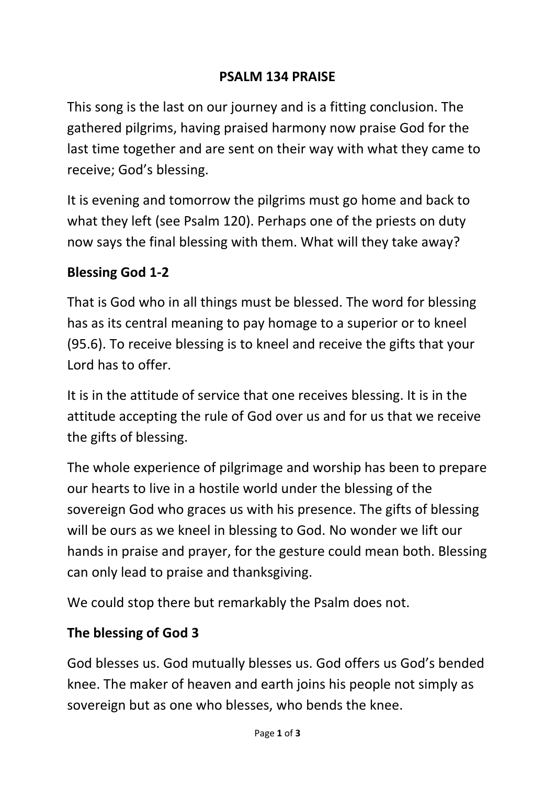### **PSALM 134 PRAISE**

This song is the last on our journey and is a fitting conclusion. The gathered pilgrims, having praised harmony now praise God for the last time together and are sent on their way with what they came to receive; God's blessing.

It is evening and tomorrow the pilgrims must go home and back to what they left (see Psalm 120). Perhaps one of the priests on duty now says the final blessing with them. What will they take away?

#### **Blessing God 1-2**

That is God who in all things must be blessed. The word for blessing has as its central meaning to pay homage to a superior or to kneel (95.6). To receive blessing is to kneel and receive the gifts that your Lord has to offer.

It is in the attitude of service that one receives blessing. It is in the attitude accepting the rule of God over us and for us that we receive the gifts of blessing.

The whole experience of pilgrimage and worship has been to prepare our hearts to live in a hostile world under the blessing of the sovereign God who graces us with his presence. The gifts of blessing will be ours as we kneel in blessing to God. No wonder we lift our hands in praise and prayer, for the gesture could mean both. Blessing can only lead to praise and thanksgiving.

We could stop there but remarkably the Psalm does not.

### **The blessing of God 3**

God blesses us. God mutually blesses us. God offers us God's bended knee. The maker of heaven and earth joins his people not simply as sovereign but as one who blesses, who bends the knee.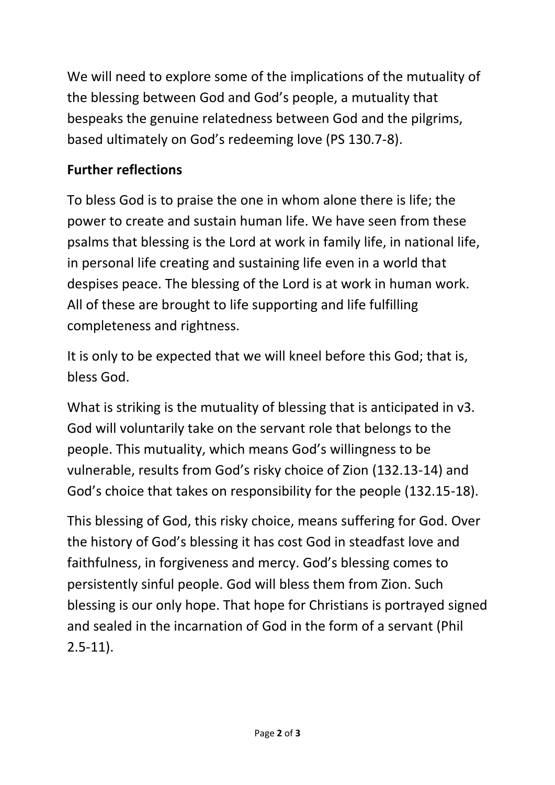We will need to explore some of the implications of the mutuality of the blessing between God and God's people, a mutuality that bespeaks the genuine relatedness between God and the pilgrims, based ultimately on God's redeeming love (PS 130.7-8).

# **Further reflections**

To bless God is to praise the one in whom alone there is life; the power to create and sustain human life. We have seen from these psalms that blessing is the Lord at work in family life, in national life, in personal life creating and sustaining life even in a world that despises peace. The blessing of the Lord is at work in human work. All of these are brought to life supporting and life fulfilling completeness and rightness.

It is only to be expected that we will kneel before this God; that is, bless God.

What is striking is the mutuality of blessing that is anticipated in v3. God will voluntarily take on the servant role that belongs to the people. This mutuality, which means God's willingness to be vulnerable, results from God's risky choice of Zion (132.13-14) and God's choice that takes on responsibility for the people (132.15-18).

This blessing of God, this risky choice, means suffering for God. Over the history of God's blessing it has cost God in steadfast love and faithfulness, in forgiveness and mercy. God's blessing comes to persistently sinful people. God will bless them from Zion. Such blessing is our only hope. That hope for Christians is portrayed signed and sealed in the incarnation of God in the form of a servant (Phil 2.5-11).